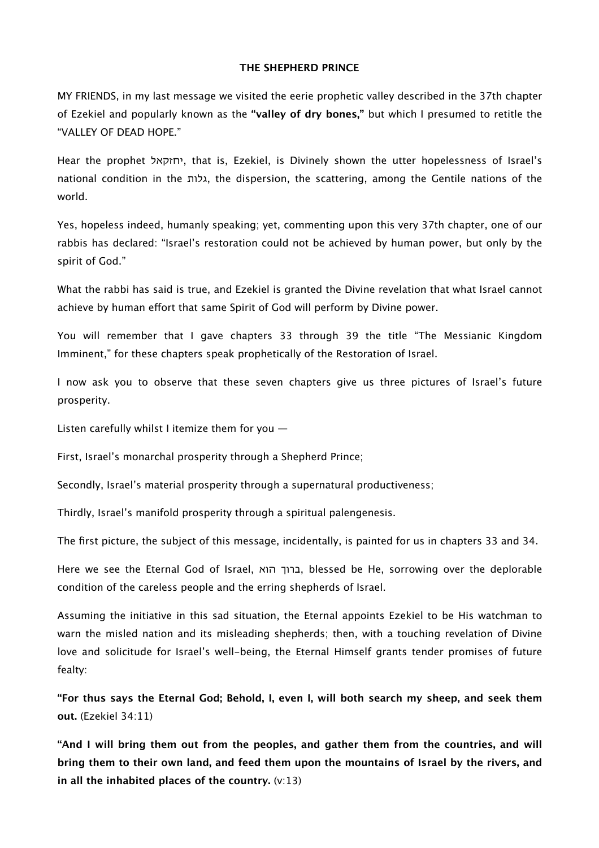#### **THE SHEPHERD PRINCE**

MY FRIENDS, in my last message we visited the eerie prophetic valley described in the 37th chapter of Ezekiel and popularly known as the **"valley of dry bones,"** but which I presumed to retitle the "VALLEY OF DEAD HOPE."

Hear the prophet יחזקאל, that is, Ezekiel, is Divinely shown the utter hopelessness of Israel's national condition in the גלות, the dispersion, the scattering, among the Gentile nations of the world.

Yes, hopeless indeed, humanly speaking; yet, commenting upon this very 37th chapter, one of our rabbis has declared: "Israel's restoration could not be achieved by human power, but only by the spirit of God."

What the rabbi has said is true, and Ezekiel is granted the Divine revelation that what Israel cannot achieve by human efort that same Spirit of God will perform by Divine power.

You will remember that I gave chapters 33 through 39 the title "The Messianic Kingdom Imminent," for these chapters speak prophetically of the Restoration of Israel.

I now ask you to observe that these seven chapters give us three pictures of Israel's future prosperity.

Listen carefully whilst I itemize them for you —

First, Israel's monarchal prosperity through a Shepherd Prince;

Secondly, Israel's material prosperity through a supernatural productiveness;

Thirdly, Israel's manifold prosperity through a spiritual palengenesis.

The first picture, the subject of this message, incidentally, is painted for us in chapters 33 and 34.

Here we see the Eternal God of Israel, הרוך הוא, blessed be He, sorrowing over the deplorable condition of the careless people and the erring shepherds of Israel.

Assuming the initiative in this sad situation, the Eternal appoints Ezekiel to be His watchman to warn the misled nation and its misleading shepherds; then, with a touching revelation of Divine love and solicitude for Israel's well-being, the Eternal Himself grants tender promises of future fealty:

**"For thus says the Eternal God; Behold, I, even I, will both search my sheep, and seek them out.** (Ezekiel 34:11)

**"And I will bring them out from the peoples, and gather them from the countries, and will bring them to their own land, and feed them upon the mountains of Israel by the rivers, and in all the inhabited places of the country.** (v:13)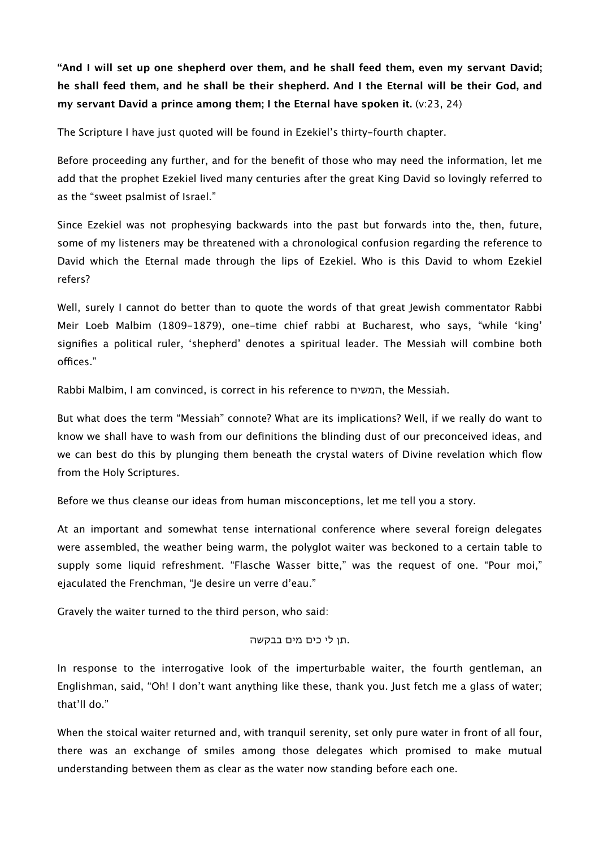**"And I will set up one shepherd over them, and he shall feed them, even my servant David; he shall feed them, and he shall be their shepherd. And I the Eternal will be their God, and my servant David a prince among them; I the Eternal have spoken it.** (v:23, 24)

The Scripture I have just quoted will be found in Ezekiel's thirty-fourth chapter.

Before proceeding any further, and for the benefit of those who may need the information, let me add that the prophet Ezekiel lived many centuries after the great King David so lovingly referred to as the "sweet psalmist of Israel."

Since Ezekiel was not prophesying backwards into the past but forwards into the, then, future, some of my listeners may be threatened with a chronological confusion regarding the reference to David which the Eternal made through the lips of Ezekiel. Who is this David to whom Ezekiel refers?

Well, surely I cannot do better than to quote the words of that great Jewish commentator Rabbi Meir Loeb Malbim (1809-1879), one-time chief rabbi at Bucharest, who says, "while 'king' signifies a political ruler, 'shepherd' denotes a spiritual leader. The Messiah will combine both offices."

Rabbi Malbim, I am convinced, is correct in his reference to המשיח, the Messiah.

But what does the term "Messiah" connote? What are its implications? Well, if we really do want to know we shall have to wash from our definitions the blinding dust of our preconceived ideas, and we can best do this by plunging them beneath the crystal waters of Divine revelation which flow from the Holy Scriptures.

Before we thus cleanse our ideas from human misconceptions, let me tell you a story.

At an important and somewhat tense international conference where several foreign delegates were assembled, the weather being warm, the polyglot waiter was beckoned to a certain table to supply some liquid refreshment. "Flasche Wasser bitte," was the request of one. "Pour moi," ejaculated the Frenchman, "Je desire un verre d'eau."

Gravely the waiter turned to the third person, who said:

## .תן לי כים מים בבקשה

In response to the interrogative look of the imperturbable waiter, the fourth gentleman, an Englishman, said, "Oh! I don't want anything like these, thank you. Just fetch me a glass of water; that'll do."

When the stoical waiter returned and, with tranquil serenity, set only pure water in front of all four, there was an exchange of smiles among those delegates which promised to make mutual understanding between them as clear as the water now standing before each one.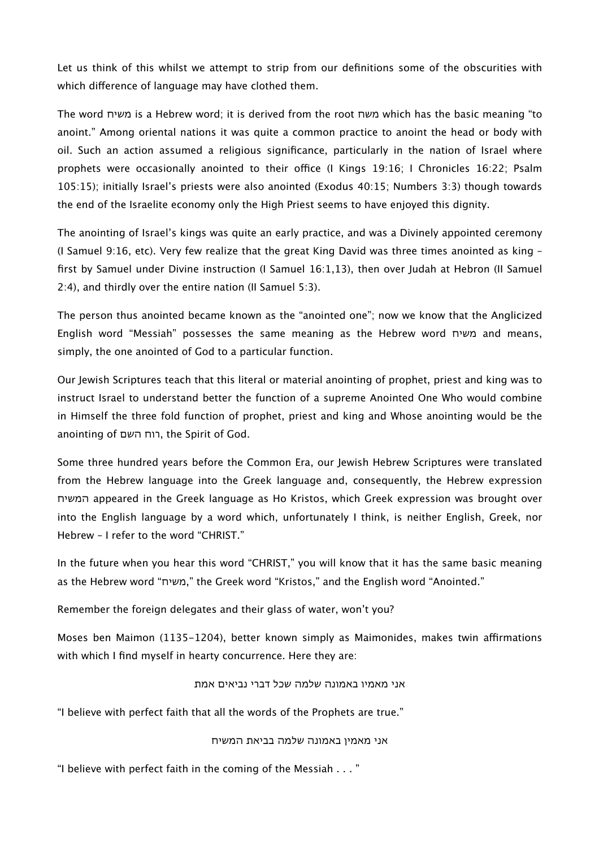Let us think of this whilst we attempt to strip from our definitions some of the obscurities with which diference of language may have clothed them.

The word משיח is a Hebrew word; it is derived from the root משח which has the basic meaning "to anoint." Among oriental nations it was quite a common practice to anoint the head or body with oil. Such an action assumed a religious significance, particularly in the nation of Israel where prophets were occasionally anointed to their office (I Kings 19:16; I Chronicles 16:22; Psalm 105:15); initially Israel's priests were also anointed (Exodus 40:15; Numbers 3:3) though towards the end of the Israelite economy only the High Priest seems to have enjoyed this dignity.

The anointing of Israel's kings was quite an early practice, and was a Divinely appointed ceremony (I Samuel 9:16, etc). Very few realize that the great King David was three times anointed as king – first by Samuel under Divine instruction (I Samuel 16:1,13), then over Judah at Hebron (II Samuel 2:4), and thirdly over the entire nation (II Samuel 5:3).

The person thus anointed became known as the "anointed one"; now we know that the Anglicized English word "Messiah" possesses the same meaning as the Hebrew word משיח and means, simply, the one anointed of God to a particular function.

Our Jewish Scriptures teach that this literal or material anointing of prophet, priest and king was to instruct Israel to understand better the function of a supreme Anointed One Who would combine in Himself the three fold function of prophet, priest and king and Whose anointing would be the anointing of השם רוח, the Spirit of God.

Some three hundred years before the Common Era, our Jewish Hebrew Scriptures were translated from the Hebrew language into the Greek language and, consequently, the Hebrew expression המשיח appeared in the Greek language as Ho Kristos, which Greek expression was brought over into the English language by a word which, unfortunately I think, is neither English, Greek, nor Hebrew – I refer to the word "CHRIST."

In the future when you hear this word "CHRIST," you will know that it has the same basic meaning as the Hebrew word "משיח, "the Greek word "Kristos," and the English word "Anointed."

Remember the foreign delegates and their glass of water, won't you?

Moses ben Maimon (1135–1204), better known simply as Maimonides, makes twin affirmations with which I find myself in hearty concurrence. Here they are:

## אני מאמיו באמונה שלמה שכל דברי נביאים אמת

"I believe with perfect faith that all the words of the Prophets are true."

## אני מאמין באמונה שלמה בביאת המשיח

"I believe with perfect faith in the coming of the Messiah . . . "